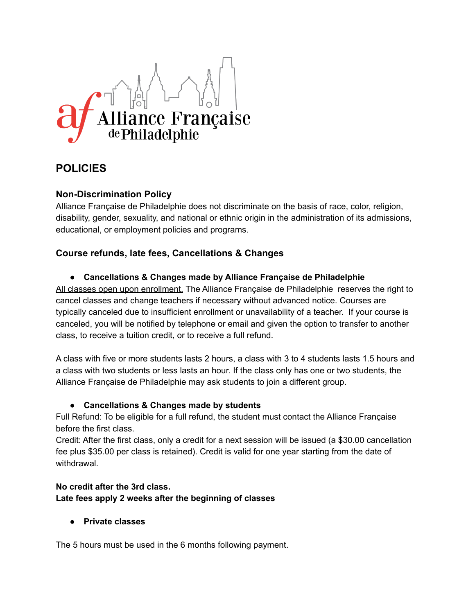

# **POLICIES**

# **Non-Discrimination Policy**

Alliance Française de Philadelphie does not discriminate on the basis of race, color, religion, disability, gender, sexuality, and national or ethnic origin in the administration of its admissions, educational, or employment policies and programs.

# **Course refunds, late fees, Cancellations & Changes**

## **● Cancellations & Changes made by Alliance Française de Philadelphie**

All classes open upon enrollment. The Alliance Française de Philadelphie reserves the right to cancel classes and change teachers if necessary without advanced notice. Courses are typically canceled due to insufficient enrollment or unavailability of a teacher. If your course is canceled, you will be notified by telephone or email and given the option to transfer to another class, to receive a tuition credit, or to receive a full refund.

A class with five or more students lasts 2 hours, a class with 3 to 4 students lasts 1.5 hours and a class with two students or less lasts an hour. If the class only has one or two students, the Alliance Française de Philadelphie may ask students to join a different group.

## ● **Cancellations & Changes made by students**

Full Refund: To be eligible for a full refund, the student must contact the Alliance Française before the first class.

Credit: After the first class, only a credit for a next session will be issued (a \$30.00 cancellation fee plus \$35.00 per class is retained). Credit is valid for one year starting from the date of withdrawal.

## **No credit after the 3rd class. Late fees apply 2 weeks after the beginning of classes**

## **● Private classes**

The 5 hours must be used in the 6 months following payment.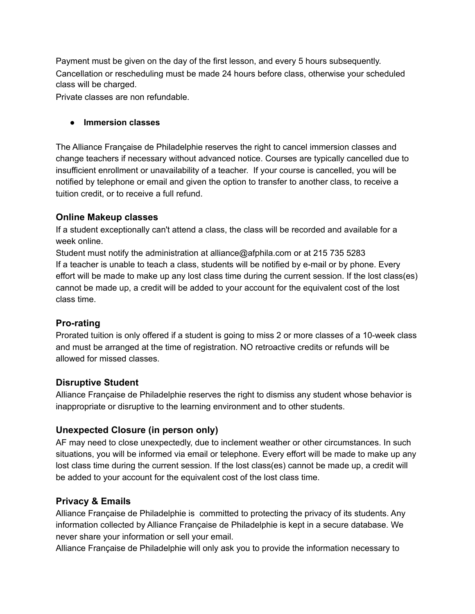Payment must be given on the day of the first lesson, and every 5 hours subsequently. Cancellation or rescheduling must be made 24 hours before class, otherwise your scheduled class will be charged.

Private classes are non refundable.

#### **● Immersion classes**

The Alliance Française de Philadelphie reserves the right to cancel immersion classes and change teachers if necessary without advanced notice. Courses are typically cancelled due to insufficient enrollment or unavailability of a teacher. If your course is cancelled, you will be notified by telephone or email and given the option to transfer to another class, to receive a tuition credit, or to receive a full refund.

## **Online Makeup classes**

If a student exceptionally can't attend a class, the class will be recorded and available for a week online.

Student must notify the administration at alliance@afphila.com or at 215 735 5283 If a teacher is unable to teach a class, students will be notified by e-mail or by phone. Every effort will be made to make up any lost class time during the current session. If the lost class(es) cannot be made up, a credit will be added to your account for the equivalent cost of the lost class time.

# **Pro-rating**

Prorated tuition is only offered if a student is going to miss 2 or more classes of a 10-week class and must be arranged at the time of registration. NO retroactive credits or refunds will be allowed for missed classes.

## **Disruptive Student**

Alliance Française de Philadelphie reserves the right to dismiss any student whose behavior is inappropriate or disruptive to the learning environment and to other students.

# **Unexpected Closure (in person only)**

AF may need to close unexpectedly, due to inclement weather or other circumstances. In such situations, you will be informed via email or telephone. Every effort will be made to make up any lost class time during the current session. If the lost class(es) cannot be made up, a credit will be added to your account for the equivalent cost of the lost class time.

# **Privacy & Emails**

Alliance Française de Philadelphie is committed to protecting the privacy of its students. Any information collected by Alliance Française de Philadelphie is kept in a secure database. We never share your information or sell your email.

Alliance Française de Philadelphie will only ask you to provide the information necessary to